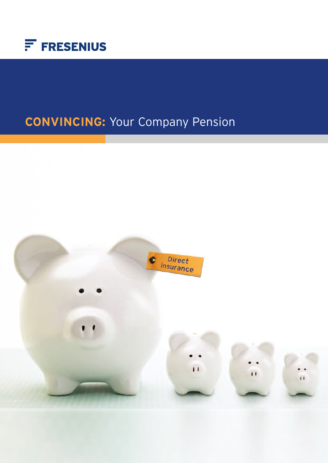

# **CONVINCING:** Your Company Pension

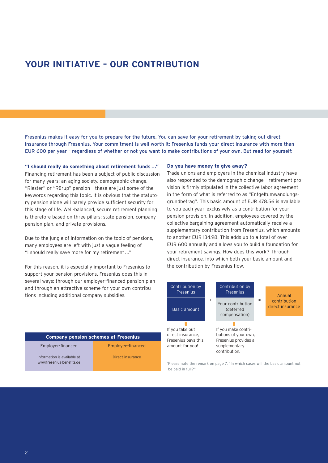# **YOUR INITIATIVE – OUR CONTRIBUTION**

Fresenius makes it easy for you to prepare for the future. You can save for your retirement by taking out direct insurance through Fresenius. Your commitment is well worth it: Fresenius funds your direct insurance with more than EUR 600 per year – regardless of whether or not you want to make contributions of your own. But read for yourself:

**"I should really do something about retirement funds ..."** Financing retirement has been a subject of public discussion for many years: an aging society, demographic change, "Riester" or "Rürup" pension – these are just some of the keywords regarding this topic. It is obvious that the statutory pension alone will barely provide sufficient security for this stage of life. Well-balanced, secure retirement planning is therefore based on three pillars: state pension, company pension plan, and private provisions.

Due to the jungle of information on the topic of pensions, many employees are left with just a vague feeling of "I should really save more for my retirement..."

For this reason, it is especially important to Fresenius to support your pension provisions. Fresenius does this in several ways: through our employer-financed pension plan and through an attractive scheme for your own contributions including additional company subsidies.

#### **Do you have money to give away?**

Trade unions and employers in the chemical industry have also responded to the demographic change – retirement provision is firmly stipulated in the collective labor agreement in the form of what is referred to as "Entgeltumwandlungsgrundbetrag". This basic amount of EUR 478.56 is available to you each year' exclusively as a contribution for your pension provision. In addition, employees covered by the collective bargaining agreement automatically receive a supplementary contribution from Fresenius, which amounts to another EUR 134.98. This adds up to a total of over EUR 600 annually and allows you to build a foundation for your retirement savings. How does this work? Through direct insurance, into which both your basic amount and the contribution by Fresenius flow.



<sup>1</sup> Please note the remark on page 7: "In which cases will the basic amount not be paid in full?".

#### **Company pension schemes at Fresenius**

Employer-financed

Employee-financed Direct insurance

Information is available at www.fresenius-benefits.de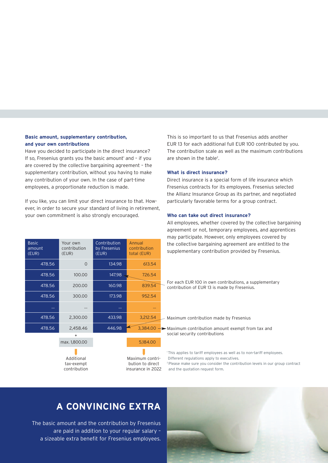### **Basic amount, supplementary contribution, and your own contributions**

Have you decided to participate in the direct insurance? If so, Fresenius grants you the basic amount<sup>1</sup> and - if you are covered by the collective bargaining agreement – the supplementary contribution, without you having to make any contribution of your own. In the case of part-time employees, a proportionate reduction is made.

If you like, you can limit your direct insurance to that. However, in order to secure your standard of living in retirement, your own commitment is also strongly encouraged.

| <b>Basic</b><br>amount<br>(EUR) | Your own<br>contribution<br>(EUR) | Contribution<br>by Fresenius<br>(EUR) | Annual<br>contribution<br>total (EUR) |
|---------------------------------|-----------------------------------|---------------------------------------|---------------------------------------|
| 478.56                          | $\circ$                           | 134.98                                | 613.54                                |
| 478.56                          | 100.00                            | 147.98                                | 726.54                                |
| 478.56                          | 200.00                            | 160.98                                | 839.54                                |
| 478.56                          | 300.00                            | 173.98                                | 952.54                                |
|                                 |                                   |                                       | $\ddotsc$                             |
| 478.56                          | 2,300.00                          | 433.98                                | 3,212.54                              |
| 478.56                          | 2,458.46                          | 446.98                                | 3,384.00                              |
|                                 | +<br>max. 1,800.00                |                                       | 5,184.00                              |
|                                 |                                   |                                       |                                       |

Additional tax-exempt contribution

Maximum contribution to direct insurance in 2022 This is so important to us that Fresenius adds another EUR 13 for each additional full EUR 100 contributed by you. The contribution scale as well as the maximum contributions are shown in the table<sup>2</sup>.

#### **What is direct insurance?**

Direct insurance is a special form of life insurance which Fresenius contracts for its employees. Fresenius selected the Allianz Insurance Group as its partner, and negotiated particularly favorable terms for a group contract.

#### **Who can take out direct insurance?**

All employees, whether covered by the collective bargaining agreement or not, temporary employees, and apprentices may participate. However, only employees covered by the collective bargaining agreement are entitled to the supplementary contribution provided by Fresenius.

For each EUR 100 in own contributions, a supplementary contribution of EUR 13 is made by Fresenius.

Maximum contribution made by Fresenius

Maximum contribution amount exempt from tax and social security contributions

<sup>1</sup>This applies to tariff employees as well as to non-tariff employees. Different regulations apply to executives. <sup>2</sup> Please make sure you consider the contribution levels in our group contract

and the quotation request form.

# **A CONVINCING EXTRA**

The basic amount and the contribution by Fresenius are paid in addition to your regular salary – a sizeable extra benefit for Fresenius employees.

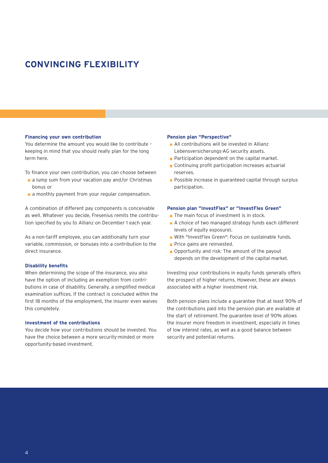# **CONVINCING FLEXIBILITY**

#### **Financing your own contribution**

You determine the amount you would like to contribute – keeping in mind that you should really plan for the long term here.

To finance your own contribution, you can choose between

- a lump sum from your vacation pay and/or Christmas bonus or
- **a** a monthly payment from your regular compensation.

A combination of different pay components is conceivable as well. Whatever you decide, Fresenius remits the contribution specified by you to Allianz on December 1 each year.

As a non-tariff employee, you can additionally turn your variable, commission, or bonuses into a contribution to the direct insurance.

#### **Disability benefits**

When determining the scope of the insurance, you also have the option of including an exemption from contributions in case of disability. Generally, a simplified medical examination suffices. If the contract is concluded within the first 18 months of the employment, the insurer even waives this completely.

#### **Investment of the contributions**

You decide how your contributions should be invested. You have the choice between a more security-minded or more opportunity-based investment.

#### **Pension plan "Perspective"**

- All contributions will be invested in Allianz Lebensversicherungs-AG security assets.
- **Participation dependent on the capital market.**
- **Continuing profit participation increases actuarial** reserves.
- **Possible increase in guaranteed capital through surplus** participation.

#### **Pension plan "InvestFlex" or "InvestFlex Green"**

- The main focus of investment is in stock.
- A choice of two managed strategy funds each (different levels of equity exposure).
- With "InvestFlex Green": Focus on sustainable funds.
- Price gains are reinvested.
- **Opportunity and risk: The amount of the payout** depends on the development of the capital market.

Investing your contributions in equity funds generally offers the prospect of higher returns. However, these are always associated with a higher investment risk.

Both pension plans include a guarantee that at least 90% of the contributions paid into the pension plan are available at the start of retirement.The guarantee level of 90% allows the insurer more freedom in investment, especially in times of low interest rates, as well as a good balance between security and potential returns.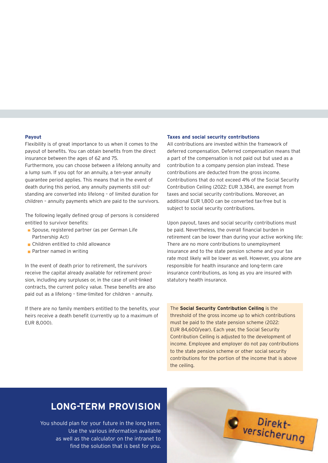#### **Payout**

Flexibility is of great importance to us when it comes to the payout of benefits. You can obtain benefits from the direct insurance between the ages of 62 and 75.

Furthermore, you can choose between a lifelong annuity and a lump sum. If you opt for an annuity, a ten-year annuity guarantee period applies. This means that in the event of death during this period, any annuity payments still outstanding are converted into lifelong – of limited duration for children – annuity payments which are paid to the survivors.

The following legally defined group of persons is considered entitled to survivor benefits:

- Spouse, registered partner (as per German Life Partnership Act)
- **Children entitled to child allowance**
- **Partner named in writing**

In the event of death prior to retirement, the survivors receive the capital already available for retirement provision, including any surpluses or, in the case of unit-linked contracts, the current policy value. These benefits are also paid out as a lifelong – time-limited for children – annuity.

If there are no family members entitled to the benefits, your heirs receive a death benefit (currently up to a maximum of EUR 8,000).

#### **Taxes and social security contributions**

All contributions are invested within the framework of deferred compensation. Deferred compensation means that a part of the compensation is not paid out but used as a contribution to a company pension plan instead. These contributions are deducted from the gross income. Contributions that do not exceed 4% of the Social Security Contribution Ceiling (2022: EUR 3,384), are exempt from taxes and social security contributions. Moreover, an additional EUR 1,800 can be converted tax-free but is subject to social security contributions.

Upon payout, taxes and social security contributions must be paid. Nevertheless, the overall financial burden in retirement can be lower than during your active working life: There are no more contributions to unemployment insurance and to the state pension scheme and your tax rate most likely will be lower as well. However, you alone are responsible for health insurance and long-term care insurance contributions, as long as you are insured with statutory health insurance.

The **Social Security Contribution Ceiling** is the threshold of the gross income up to which contributions must be paid to the state pension scheme (2022: EUR 84,600/year). Each year, the Social Security Contribution Ceiling is adjusted to the development of income. Employee and employer do not pay contributions to the state pension scheme or other social security contributions for the portion of the income that is above the ceiling.

# **LONG-TERM PROVISION**

You should plan for your future in the long term. Use the various information available as well as the calculator on the intranet to find the solution that is best for you.  $\bullet$   $^{Direct-}$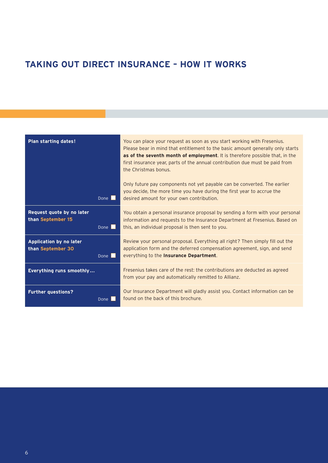# **TAKING OUT DIRECT INSURANCE – HOW IT WORKS**

| Plan starting dates!                                |                     | You can place your request as soon as you start working with Fresenius.<br>Please bear in mind that entitlement to the basic amount generally only starts<br>as of the seventh month of employment. It is therefore possible that, in the<br>first insurance year, parts of the annual contribution due must be paid from<br>the Christmas bonus.<br>Only future pay components not yet payable can be converted. The earlier<br>you decide, the more time you have during the first year to accrue the |
|-----------------------------------------------------|---------------------|---------------------------------------------------------------------------------------------------------------------------------------------------------------------------------------------------------------------------------------------------------------------------------------------------------------------------------------------------------------------------------------------------------------------------------------------------------------------------------------------------------|
|                                                     | Done I              | desired amount for your own contribution.                                                                                                                                                                                                                                                                                                                                                                                                                                                               |
| Request quote by no later<br>than September 15      | Done $\blacksquare$ | You obtain a personal insurance proposal by sending a form with your personal<br>information and requests to the Insurance Department at Fresenius. Based on<br>this, an individual proposal is then sent to you.                                                                                                                                                                                                                                                                                       |
| <b>Application by no later</b><br>than September 30 | Done <b>N</b>       | Review your personal proposal. Everything all right? Then simply fill out the<br>application form and the deferred compensation agreement, sign, and send<br>everything to the Insurance Department.                                                                                                                                                                                                                                                                                                    |
| Everything runs smoothly                            |                     | Fresenius takes care of the rest: the contributions are deducted as agreed<br>from your pay and automatically remitted to Allianz.                                                                                                                                                                                                                                                                                                                                                                      |
| <b>Further questions?</b>                           | Done                | Our Insurance Department will gladly assist you. Contact information can be<br>found on the back of this brochure.                                                                                                                                                                                                                                                                                                                                                                                      |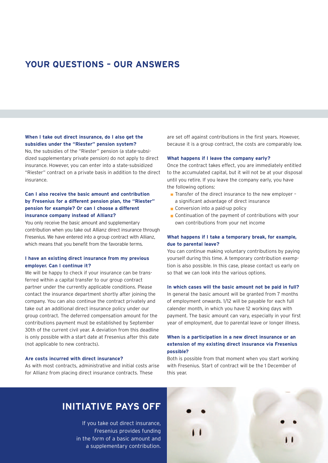# **YOUR QUESTIONS – OUR ANSWERS**

### **When I take out direct insurance, do I also get the subsidies under the "Riester" pension system?**

No, the subsidies of the "Riester" pension (a state-subsidized supplementary private pension) do not apply to direct insurance. However, you can enter into a state-subsidized "Riester" contract on a private basis in addition to the direct insurance.

### **Can I also receive the basic amount and contribution by Fresenius for a different pension plan, the "Riester" pension for example? Or can I choose a different insurance company instead of Allianz?**

You only receive the basic amount and supplementary contribution when you take out Allianz direct insurance through Fresenius. We have entered into a group contract with Allianz, which means that you benefit from the favorable terms.

### **I have an existing direct insurance from my previous employer. Can I continue it?**

We will be happy to check if your insurance can be transferred within a capital transfer to our group contract partner under the currently applicable conditions. Please contact the insurance department shortly after joining the company. You can also continue the contract privately and take out an additional direct insurance policy under our group contract. The deferred compensation amount for the contributions payment must be established by September 30th of the current civil year. A deviation from this deadline is only possible with a start date at Fresenius after this date (not applicable to new contracts).

### **Are costs incurred with direct insurance?**

As with most contracts, administrative and initial costs arise for Allianz from placing direct insurance contracts. These

are set off against contributions in the first years. However, because it is a group contract, the costs are comparably low.

#### **What happens if I leave the company early?**

Once the contract takes effect, you are immediately entitled to the accumulated capital, but it will not be at your disposal until you retire. If you leave the company early, you have the following options:

- $\blacksquare$  Transfer of the direct insurance to the new employer a significant advantage of direct insurance
- Conversion into a paid-up policy
- Continuation of the payment of contributions with your own contributions from your net income

### **What happens if I take a temporary break, for example, due to parental leave?**

You can continue making voluntary contributions by paying yourself during this time. A temporary contribution exemption is also possible. In this case, please contact us early on so that we can look into the various options.

#### **In which cases will the basic amount not be paid in full?**

In general the basic amount will be granted from 7 months of employment onwards. 1/12 will be payable for each full calender month, in which you have 12 working days with payment. The basic amount can vary, especially in your first year of employment, due to parental leave or longer illness.

### **When is a participation in a new direct insurance or an extension of my existing direct insurance via Fresenius possible?**

Both is possible from that moment when you start working with Fresenius. Start of contract will be the 1 December of this year.

# **INITIATIVE PAYS OFF**

If you take out direct insurance, Fresenius provides funding in the form of a basic amount and a supplementary contribution.